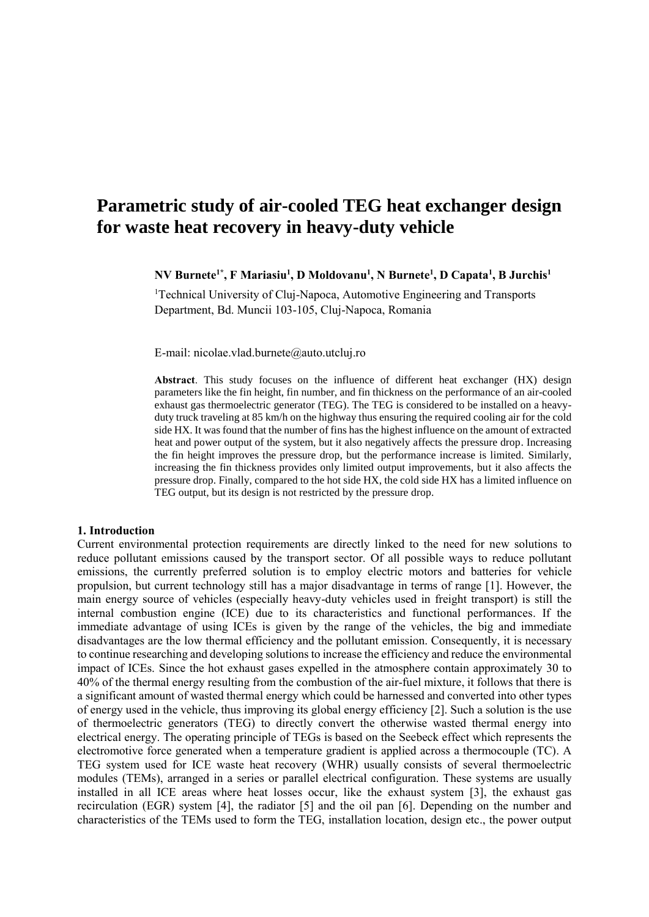# **Parametric study of air-cooled TEG heat exchanger design for waste heat recovery in heavy-duty vehicle**

**NV Burnete1\* , F Mariasiu<sup>1</sup> , D Moldovanu<sup>1</sup> , N Burnete<sup>1</sup> , D Capata<sup>1</sup> , B Jurchis<sup>1</sup>**

<sup>1</sup>Technical University of Cluj-Napoca, Automotive Engineering and Transports Department, Bd. Muncii 103-105, Cluj-Napoca, Romania

E-mail: nicolae.vlad.burnete@auto.utcluj.ro

**Abstract**. This study focuses on the influence of different heat exchanger (HX) design parameters like the fin height, fin number, and fin thickness on the performance of an air-cooled exhaust gas thermoelectric generator (TEG). The TEG is considered to be installed on a heavyduty truck traveling at 85 km/h on the highway thus ensuring the required cooling air for the cold side HX. It was found that the number of fins has the highest influence on the amount of extracted heat and power output of the system, but it also negatively affects the pressure drop. Increasing the fin height improves the pressure drop, but the performance increase is limited. Similarly, increasing the fin thickness provides only limited output improvements, but it also affects the pressure drop. Finally, compared to the hot side HX, the cold side HX has a limited influence on TEG output, but its design is not restricted by the pressure drop.

#### **1. Introduction**

Current environmental protection requirements are directly linked to the need for new solutions to reduce pollutant emissions caused by the transport sector. Of all possible ways to reduce pollutant emissions, the currently preferred solution is to employ electric motors and batteries for vehicle propulsion, but current technology still has a major disadvantage in terms of range [1]. However, the main energy source of vehicles (especially heavy-duty vehicles used in freight transport) is still the internal combustion engine (ICE) due to its characteristics and functional performances. If the immediate advantage of using ICEs is given by the range of the vehicles, the big and immediate disadvantages are the low thermal efficiency and the pollutant emission. Consequently, it is necessary to continue researching and developing solutions to increase the efficiency and reduce the environmental impact of ICEs. Since the hot exhaust gases expelled in the atmosphere contain approximately 30 to 40% of the thermal energy resulting from the combustion of the air-fuel mixture, it follows that there is a significant amount of wasted thermal energy which could be harnessed and converted into other types of energy used in the vehicle, thus improving its global energy efficiency [2]. Such a solution is the use of thermoelectric generators (TEG) to directly convert the otherwise wasted thermal energy into electrical energy. The operating principle of TEGs is based on the Seebeck effect which represents the electromotive force generated when a temperature gradient is applied across a thermocouple (TC). A TEG system used for ICE waste heat recovery (WHR) usually consists of several thermoelectric modules (TEMs), arranged in a series or parallel electrical configuration. These systems are usually installed in all ICE areas where heat losses occur, like the exhaust system [3], the exhaust gas recirculation (EGR) system [4], the radiator [5] and the oil pan [6]. Depending on the number and characteristics of the TEMs used to form the TEG, installation location, design etc., the power output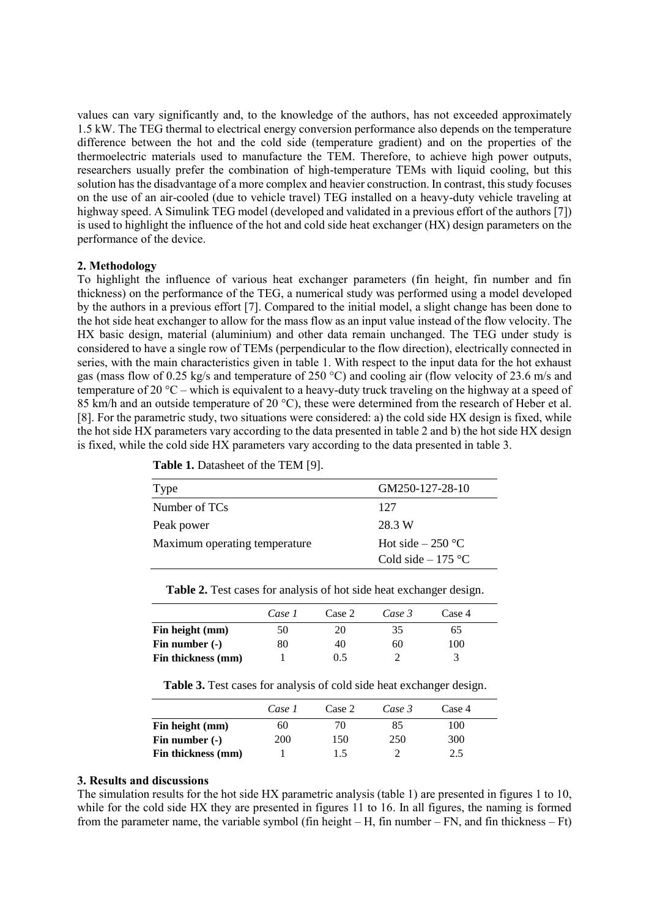values can vary significantly and, to the knowledge of the authors, has not exceeded approximately 1.5 kW. The TEG thermal to electrical energy conversion performance also depends on the temperature difference between the hot and the cold side (temperature gradient) and on the properties of the thermoelectric materials used to manufacture the TEM. Therefore, to achieve high power outputs, researchers usually prefer the combination of high-temperature TEMs with liquid cooling, but this solution has the disadvantage of a more complex and heavier construction. In contrast, this study focuses on the use of an air-cooled (due to vehicle travel) TEG installed on a heavy-duty vehicle traveling at highway speed. A Simulink TEG model (developed and validated in a previous effort of the authors [7]) is used to highlight the influence of the hot and cold side heat exchanger (HX) design parameters on the performance of the device.

### **2. Methodology**

To highlight the influence of various heat exchanger parameters (fin height, fin number and fin thickness) on the performance of the TEG, a numerical study was performed using a model developed by the authors in a previous effort [7]. Compared to the initial model, a slight change has been done to the hot side heat exchanger to allow for the mass flow as an input value instead of the flow velocity. The HX basic design, material (aluminium) and other data remain unchanged. The TEG under study is considered to have a single row of TEMs (perpendicular to the flow direction), electrically connected in series, with the main characteristics given in table 1. With respect to the input data for the hot exhaust gas (mass flow of 0.25 kg/s and temperature of 250 °C) and cooling air (flow velocity of 23.6 m/s and temperature of 20 °C – which is equivalent to a heavy-duty truck traveling on the highway at a speed of 85 km/h and an outside temperature of 20 °C), these were determined from the research of Heber et al. [8]. For the parametric study, two situations were considered: a) the cold side HX design is fixed, while the hot side HX parameters vary according to the data presented in table 2 and b) the hot side HX design is fixed, while the cold side HX parameters vary according to the data presented in table 3.

| <b>Type</b>                   | GM250-127-28-10     |  |
|-------------------------------|---------------------|--|
| Number of TCs                 | 127                 |  |
| Peak power                    | 28.3 W              |  |
| Maximum operating temperature | Hot side $-250$ °C  |  |
|                               | Cold side $-175$ °C |  |

**Table 1.** Datasheet of the TEM [9].

| Table 2. Test cases for analysis of hot side heat exchanger design. |  |  |  |
|---------------------------------------------------------------------|--|--|--|
|                                                                     |  |  |  |

|                    | Case 1 | Case 2 | Case 3 | Case 4 |  |
|--------------------|--------|--------|--------|--------|--|
| Fin height (mm)    | 50     | 20     | 35     | 65     |  |
| Fin number $(-)$   | 80     | 40     | 60     | 100    |  |
| Fin thickness (mm) |        | 0.5    |        |        |  |

**Table 3.** Test cases for analysis of cold side heat exchanger design.

|                    | Case 1     | Case 2 | Case 3 | Case 4 |  |
|--------------------|------------|--------|--------|--------|--|
| Fin height (mm)    | 60         | 70     | 85     | 100    |  |
| Fin number $(-)$   | <b>200</b> | 150    | 250    | 300    |  |
| Fin thickness (mm) |            | 1.5    |        | 2.5    |  |

### **3. Results and discussions**

The simulation results for the hot side HX parametric analysis (table 1) are presented in figures 1 to 10, while for the cold side HX they are presented in figures 11 to 16. In all figures, the naming is formed from the parameter name, the variable symbol (fin height – H, fin number – FN, and fin thickness – Ft)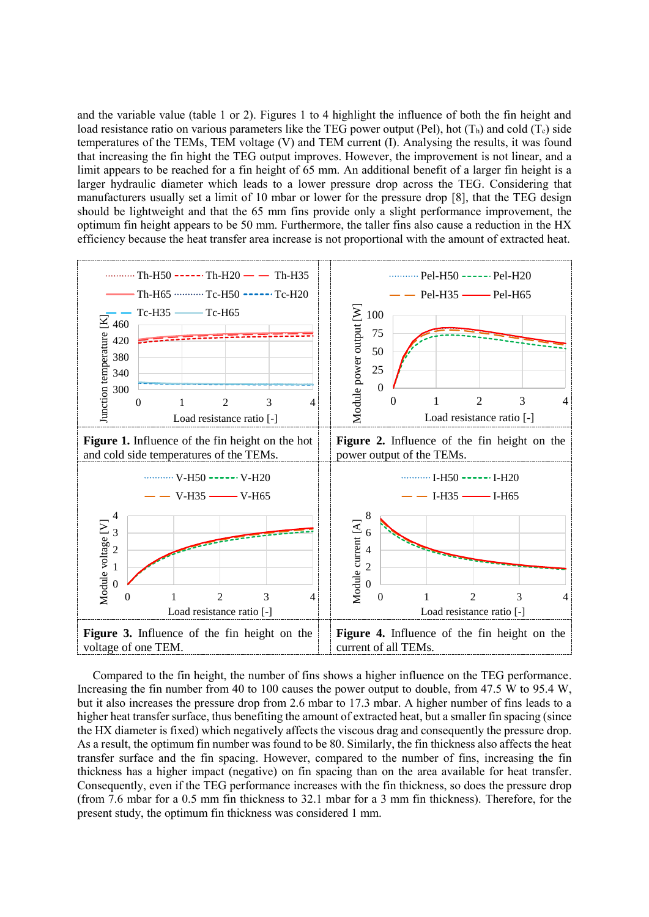and the variable value (table 1 or 2). Figures 1 to 4 highlight the influence of both the fin height and load resistance ratio on various parameters like the TEG power output (Pel), hot  $(T_h)$  and cold  $(T_c)$  side temperatures of the TEMs, TEM voltage (V) and TEM current (I). Analysing the results, it was found that increasing the fin hight the TEG output improves. However, the improvement is not linear, and a limit appears to be reached for a fin height of 65 mm. An additional benefit of a larger fin height is a larger hydraulic diameter which leads to a lower pressure drop across the TEG. Considering that manufacturers usually set a limit of 10 mbar or lower for the pressure drop [8], that the TEG design should be lightweight and that the 65 mm fins provide only a slight performance improvement, the optimum fin height appears to be 50 mm. Furthermore, the taller fins also cause a reduction in the HX efficiency because the heat transfer area increase is not proportional with the amount of extracted heat.



Compared to the fin height, the number of fins shows a higher influence on the TEG performance. Increasing the fin number from 40 to 100 causes the power output to double, from 47.5 W to 95.4 W, but it also increases the pressure drop from 2.6 mbar to 17.3 mbar. A higher number of fins leads to a higher heat transfer surface, thus benefiting the amount of extracted heat, but a smaller fin spacing (since the HX diameter is fixed) which negatively affects the viscous drag and consequently the pressure drop. As a result, the optimum fin number was found to be 80. Similarly, the fin thickness also affects the heat transfer surface and the fin spacing. However, compared to the number of fins, increasing the fin thickness has a higher impact (negative) on fin spacing than on the area available for heat transfer. Consequently, even if the TEG performance increases with the fin thickness, so does the pressure drop (from 7.6 mbar for a 0.5 mm fin thickness to 32.1 mbar for a 3 mm fin thickness). Therefore, for the present study, the optimum fin thickness was considered 1 mm.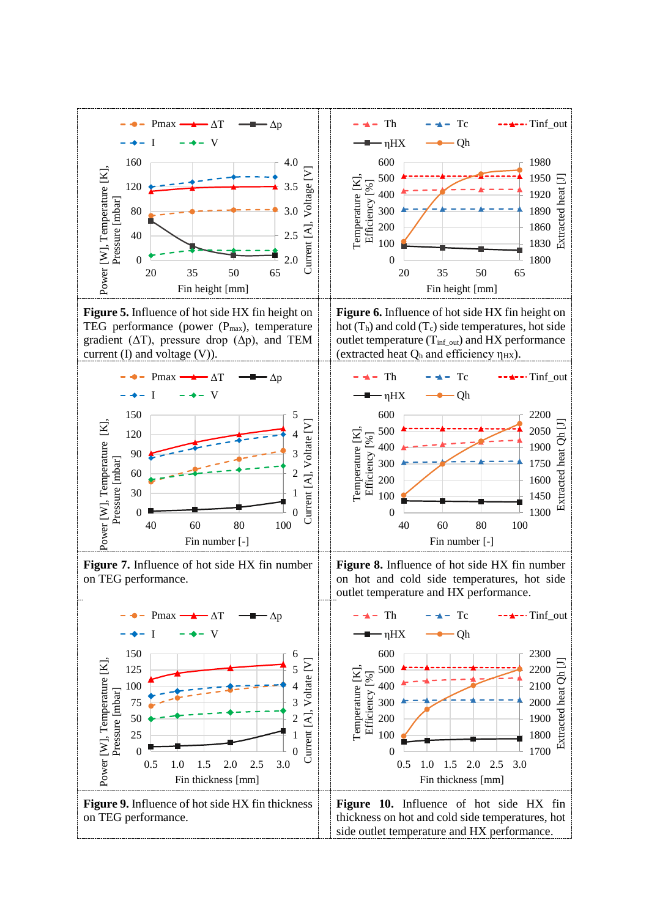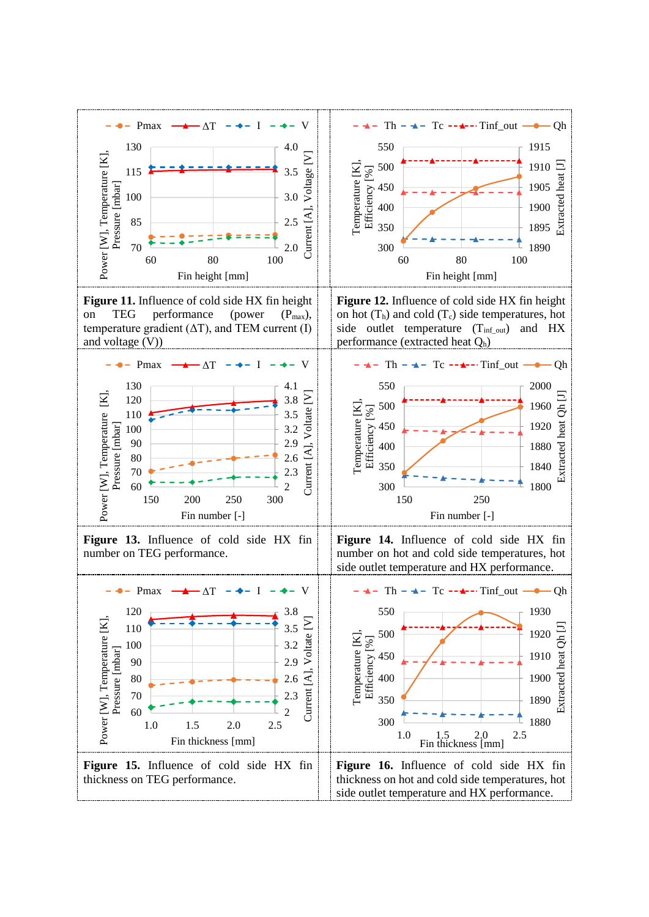